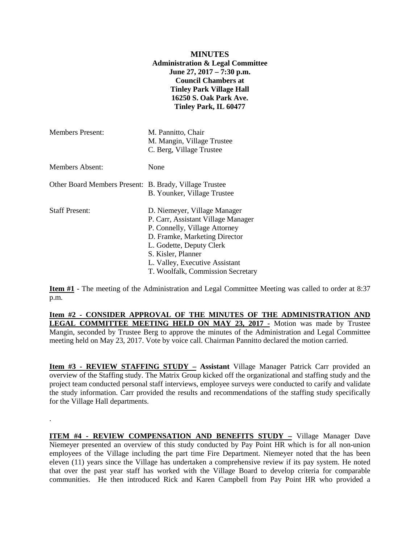|                                                        | <b>MINUTES</b><br><b>Administration &amp; Legal Committee</b><br>June 27, $2017 - 7:30$ p.m.<br><b>Council Chambers at</b><br><b>Tinley Park Village Hall</b><br><b>16250 S. Oak Park Ave.</b><br>Tinley Park, IL 60477                                                                          |
|--------------------------------------------------------|--------------------------------------------------------------------------------------------------------------------------------------------------------------------------------------------------------------------------------------------------------------------------------------------------|
| <b>Members Present:</b>                                | M. Pannitto, Chair<br>M. Mangin, Village Trustee<br>C. Berg, Village Trustee                                                                                                                                                                                                                     |
| Members Absent:                                        | None                                                                                                                                                                                                                                                                                             |
| Other Board Members Present: B. Brady, Village Trustee | $\mathbf{u}$ and $\mathbf{v}$ and $\mathbf{v}$ and $\mathbf{v}$ and $\mathbf{v}$ and $\mathbf{v}$ and $\mathbf{v}$ and $\mathbf{v}$ and $\mathbf{v}$ and $\mathbf{v}$ and $\mathbf{v}$ and $\mathbf{v}$ and $\mathbf{v}$ and $\mathbf{v}$ and $\mathbf{v}$ and $\mathbf{v}$ and $\mathbf{v}$ and |

B. Younker, Village Trustee Staff Present: D. Niemeyer, Village Manager P. Carr, Assistant Village Manager P. Connelly, Village Attorney D. Framke, Marketing Director L. Godette, Deputy Clerk S. Kisler, Planner L. Valley, Executive Assistant T. Woolfalk, Commission Secretary

.

**Item #1** - The meeting of the Administration and Legal Committee Meeting was called to order at 8:37 p.m.

**Item #2 - CONSIDER APPROVAL OF THE MINUTES OF THE ADMINISTRATION AND LEGAL COMMITTEE MEETING HELD ON MAY 23, 2017 -** Motion was made by Trustee Mangin, seconded by Trustee Berg to approve the minutes of the Administration and Legal Committee meeting held on May 23, 2017. Vote by voice call. Chairman Pannitto declared the motion carried.

**Item #3 - REVIEW STAFFING STUDY – Assistant** Village Manager Patrick Carr provided an overview of the Staffing study. The Matrix Group kicked off the organizational and staffing study and the project team conducted personal staff interviews, employee surveys were conducted to carify and validate the study information. Carr provided the results and recommendations of the staffing study specifically for the Village Hall departments.

**ITEM #4 - REVIEW COMPENSATION AND BENEFITS STUDY –** Village Manager Dave Niemeyer presented an overview of this study conducted by Pay Point HR which is for all non-union employees of the Village including the part time Fire Department. Niemeyer noted that the has been eleven (11) years since the Village has undertaken a comprehensive review if its pay system. He noted that over the past year staff has worked with the Village Board to develop criteria for comparable communities. He then introduced Rick and Karen Campbell from Pay Point HR who provided a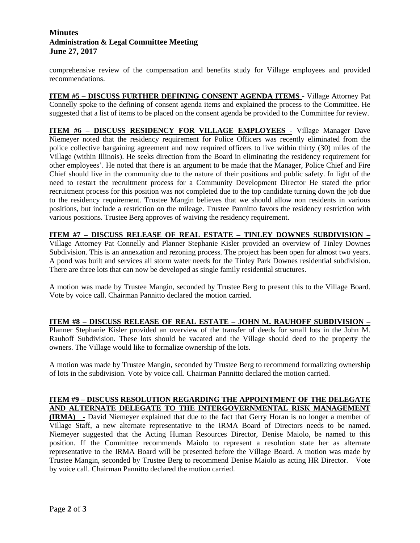# **Minutes Administration & Legal Committee Meeting June 27, 2017**

comprehensive review of the compensation and benefits study for Village employees and provided recommendations.

**ITEM #5 – DISCUSS FURTHER DEFINING CONSENT AGENDA ITEMS -** Village Attorney Pat Connelly spoke to the defining of consent agenda items and explained the process to the Committee. He suggested that a list of items to be placed on the consent agenda be provided to the Committee for review.

**ITEM #6 – DISCUSS RESIDENCY FOR VILLAGE EMPLOYEES -** Village Manager Dave Niemeyer noted that the residency requirement for Police Officers was recently eliminated from the police collective bargaining agreement and now required officers to live within thirty (30) miles of the Village (within Illinois). He seeks direction from the Board in eliminating the residency requirement for other employees'. He noted that there is an argument to be made that the Manager, Police Chief and Fire Chief should live in the community due to the nature of their positions and public safety. In light of the need to restart the recruitment process for a Community Development Director He stated the prior recruitment process for this position was not completed due to the top candidate turning down the job due to the residency requirement. Trustee Mangin believes that we should allow non residents in various positions, but include a restriction on the mileage. Trustee Pannitto favors the residency restriction with various positions. Trustee Berg approves of waiving the residency requirement.

**ITEM #7 – DISCUSS RELEASE OF REAL ESTATE – TINLEY DOWNES SUBDIVISION –** Village Attorney Pat Connelly and Planner Stephanie Kisler provided an overview of Tinley Downes Subdivision. This is an annexation and rezoning process. The project has been open for almost two years. A pond was built and services all storm water needs for the Tinley Park Downes residential subdivision. There are three lots that can now be developed as single family residential structures.

A motion was made by Trustee Mangin, seconded by Trustee Berg to present this to the Village Board. Vote by voice call. Chairman Pannitto declared the motion carried.

### **ITEM #8 – DISCUSS RELEASE OF REAL ESTATE – JOHN M. RAUHOFF SUBDIVISION –**

Planner Stephanie Kisler provided an overview of the transfer of deeds for small lots in the John M. Rauhoff Subdivision. These lots should be vacated and the Village should deed to the property the owners. The Village would like to formalize ownership of the lots.

A motion was made by Trustee Mangin, seconded by Trustee Berg to recommend formalizing ownership of lots in the subdivision. Vote by voice call. Chairman Pannitto declared the motion carried.

## **ITEM #9 – DISCUSS RESOLUTION REGARDING THE APPOINTMENT OF THE DELEGATE AND ALTERNATE DELEGATE TO THE INTERGOVERNMENTAL RISK MANAGEMENT**

**(IRMA) -** David Niemeyer explained that due to the fact that Gerry Horan is no longer a member of Village Staff, a new alternate representative to the IRMA Board of Directors needs to be named. Niemeyer suggested that the Acting Human Resources Director, Denise Maiolo, be named to this position. If the Committee recommends Maiolo to represent a resolution state her as alternate representative to the IRMA Board will be presented before the Village Board. A motion was made by Trustee Mangin, seconded by Trustee Berg to recommend Denise Maiolo as acting HR Director. Vote by voice call. Chairman Pannitto declared the motion carried.